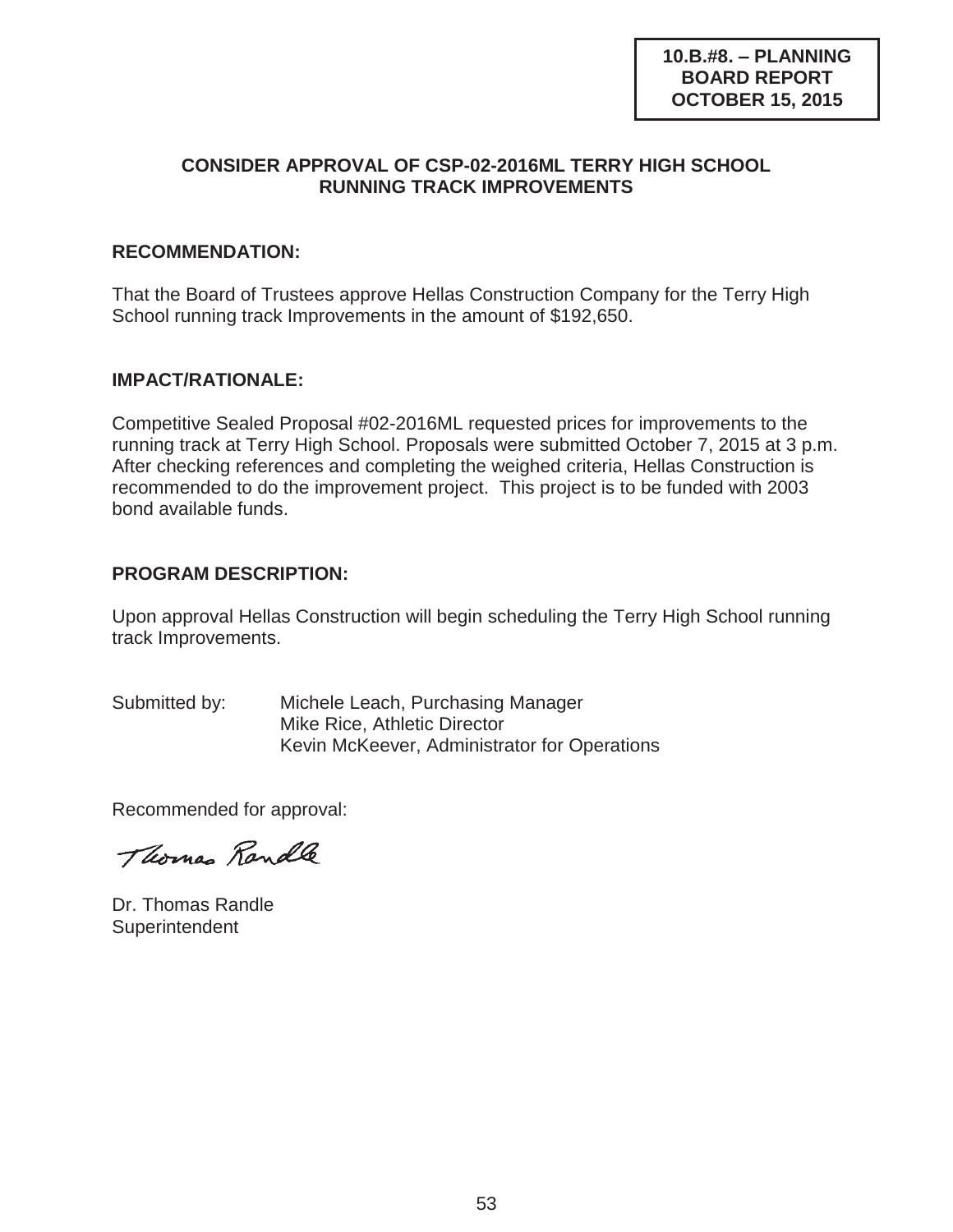## **CONSIDER APPROVAL OF CSP-02-2016ML TERRY HIGH SCHOOL RUNNING TRACK IMPROVEMENTS**

### **RECOMMENDATION:**

That the Board of Trustees approve Hellas Construction Company for the Terry High School running track Improvements in the amount of \$192,650.

### **IMPACT/RATIONALE:**

Competitive Sealed Proposal #02-2016ML requested prices for improvements to the running track at Terry High School. Proposals were submitted October 7, 2015 at 3 p.m. After checking references and completing the weighed criteria, Hellas Construction is recommended to do the improvement project. This project is to be funded with 2003 bond available funds.

### **PROGRAM DESCRIPTION:**

Upon approval Hellas Construction will begin scheduling the Terry High School running track Improvements.

Submitted by: Michele Leach, Purchasing Manager Mike Rice, Athletic Director Kevin McKeever, Administrator for Operations

Recommended for approval:

Thomas Randle

Dr. Thomas Randle **Superintendent**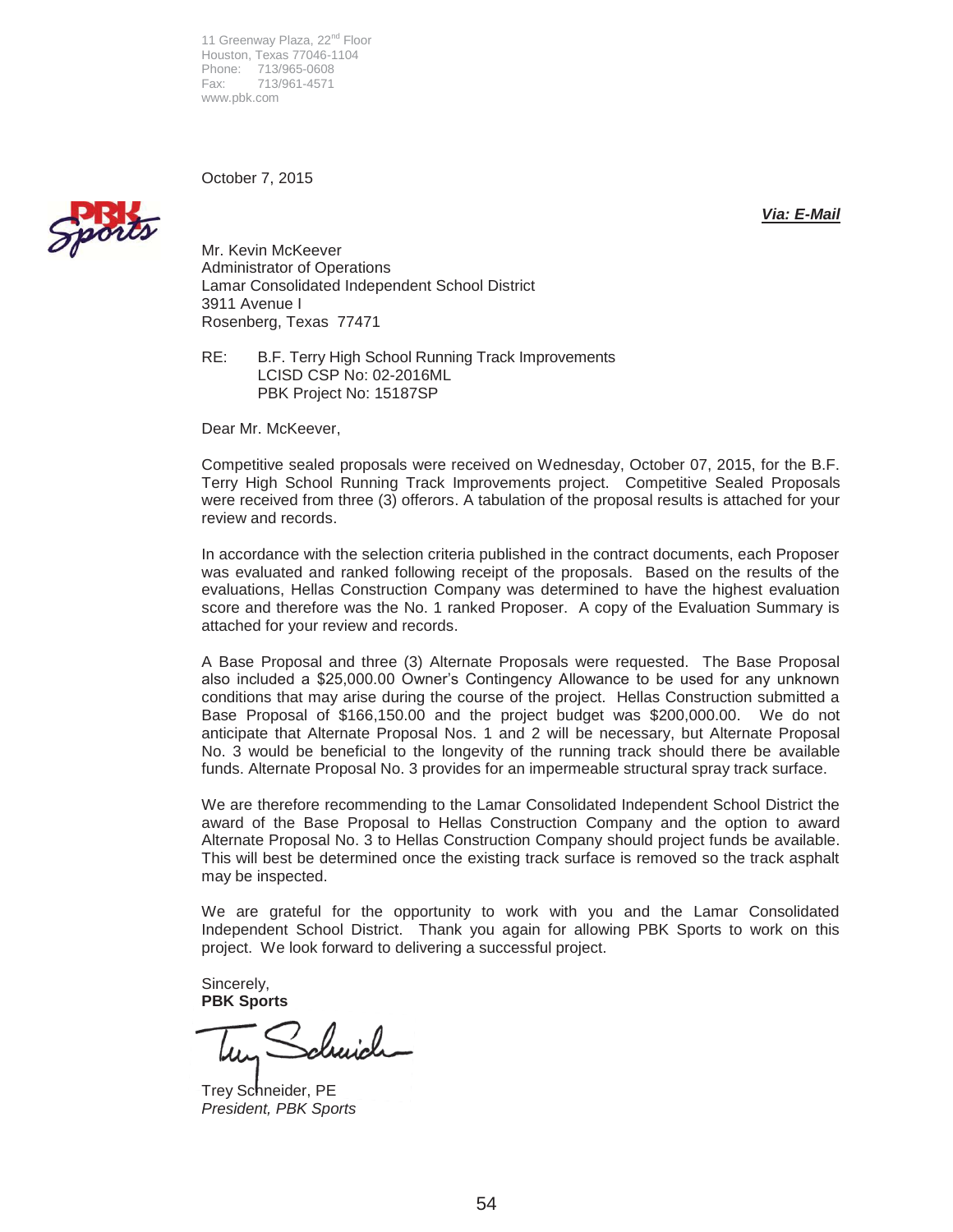11 Greenway Plaza, 22<sup>nd</sup> Floor Houston, Texas 77046-1104 Phone: 713/965-0608<br>Fax: 713/961-4571 Fax: 713/961-4571 www.pbk.com

October 7, 2015



*Via: E-Mail* 

Mr. Kevin McKeever Administrator of Operations Lamar Consolidated Independent School District 3911 Avenue I Rosenberg, Texas 77471

RE: B.F. Terry High School Running Track Improvements LCISD CSP No: 02-2016ML PBK Project No: 15187SP

Dear Mr. McKeever,

Competitive sealed proposals were received on Wednesday, October 07, 2015, for the B.F. Terry High School Running Track Improvements project. Competitive Sealed Proposals were received from three (3) offerors. A tabulation of the proposal results is attached for your review and records.

In accordance with the selection criteria published in the contract documents, each Proposer was evaluated and ranked following receipt of the proposals. Based on the results of the evaluations, Hellas Construction Company was determined to have the highest evaluation score and therefore was the No. 1 ranked Proposer. A copy of the Evaluation Summary is attached for your review and records.

A Base Proposal and three (3) Alternate Proposals were requested. The Base Proposal also included a \$25,000.00 Owner's Contingency Allowance to be used for any unknown conditions that may arise during the course of the project. Hellas Construction submitted a Base Proposal of \$166,150.00 and the project budget was \$200,000.00. We do not anticipate that Alternate Proposal Nos. 1 and 2 will be necessary, but Alternate Proposal No. 3 would be beneficial to the longevity of the running track should there be available funds. Alternate Proposal No. 3 provides for an impermeable structural spray track surface.

We are therefore recommending to the Lamar Consolidated Independent School District the award of the Base Proposal to Hellas Construction Company and the option to award Alternate Proposal No. 3 to Hellas Construction Company should project funds be available. This will best be determined once the existing track surface is removed so the track asphalt may be inspected.

We are grateful for the opportunity to work with you and the Lamar Consolidated Independent School District. Thank you again for allowing PBK Sports to work on this project. We look forward to delivering a successful project.

Sincerely, **PBK Sports** 

duid

Trey Schneider, PE *President, PBK Sports*